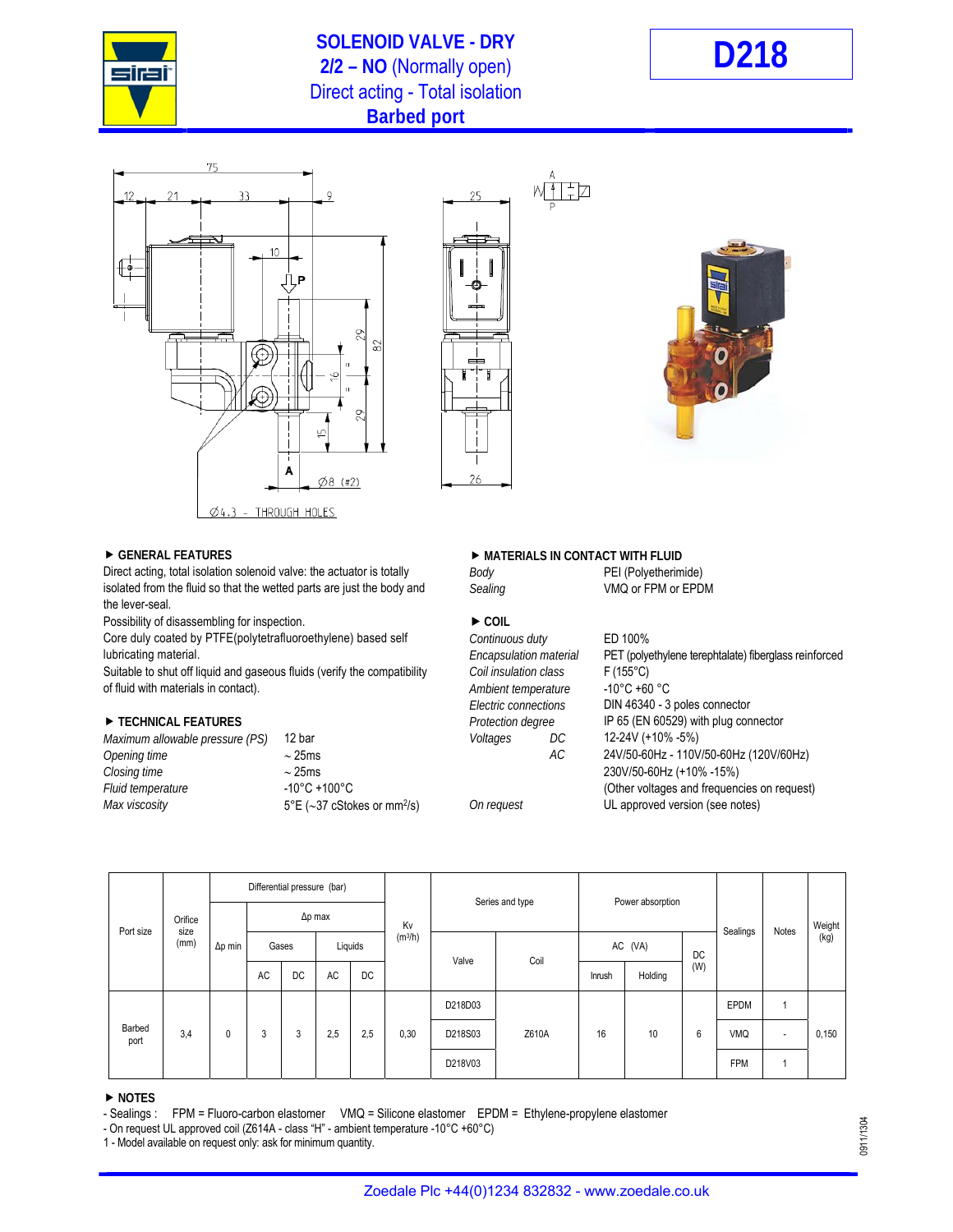

## **SOLENOID VALVE - DRY 2/2 – NO** (Normally open) **D218** Direct acting - Total isolation **Barbed port**







Direct acting, total isolation solenoid valve: the actuator is totally *Body* **PEI** (Polyetherimide) isolated from the fluid so that the wetted parts are just the body and *Sealing* VMQ or FPM or EPDM the lever-seal.

Possibility of disassembling for inspection.  $\blacktriangleright$  COIL

Core duly coated by PTFE(polytetrafluoroethylene) based self *Continuous duty* ED 100% lubricating material. *Encapsulation material* PET (polyethylene terephtalate) fiberglass reinforced

Suitable to shut off liquid and gaseous fluids (verify the compatibility *Coil insulation class* F (155°C)<br>10°C +60 °C (165°C) of fluid with materials in contact). of fluid with materials in contact). **Ambient temperature Ambient** temperature

| 12 bar                                           |
|--------------------------------------------------|
| $\sim$ 25ms                                      |
| $\sim$ 25ms                                      |
| $-10^{\circ}$ C +100 $^{\circ}$ C                |
| $5^{\circ}E$ (~37 cStokes or mm <sup>2</sup> /s) |
|                                                  |

### **► GENERAL FEATURES IN CONTACT WITH FLUID**

Ŧh

# *Electric connections* DIN 46340 - 3 poles connector **TECHNICAL FEATURES** *Protection degree* IP 65 (EN 60529) with plug connector *Maximum allowable pressure (PS)* 12 bar *Voltages DC* 12-24V (+10% -5%) *Opening time*  25ms *AC* 24V/50-60Hz - 110V/50-60Hz (120V/60Hz) *Closing time*  25ms 230V/50-60Hz (+10% -15%) *(Other voltages and frequencies on request) On request* **5°C UL approved version (see notes)**

| Port size      | Orifice<br>size<br>(mm) | Differential pressure (bar) |                |           |           |                                |    |                 |      |                  |         |       |            |       |        |            |                          |       |
|----------------|-------------------------|-----------------------------|----------------|-----------|-----------|--------------------------------|----|-----------------|------|------------------|---------|-------|------------|-------|--------|------------|--------------------------|-------|
|                |                         |                             | $\Delta p$ max |           |           |                                | Kv | Series and type |      | Power absorption |         |       | Sealings   | Notes | Weight |            |                          |       |
|                |                         | $\Delta p$ min              |                | Gases     |           | (m <sup>3</sup> /h)<br>Liquids |    | Valve           | Coil | AC (VA)          |         | DC    |            |       | (kg)   |            |                          |       |
|                |                         |                             | <b>AC</b>      | <b>DC</b> | <b>AC</b> | DC                             |    |                 |      | Inrush           | Holding | (W)   |            |       |        |            |                          |       |
| Barbed<br>port | 3,4                     |                             |                |           |           |                                |    | D218D03         |      |                  |         |       | EPDM       | 4     |        |            |                          |       |
|                |                         |                             | 0              |           |           | 3                              | 3  | 2,5             | 2,5  | 0,30             | D218S03 | Z610A | 16         | 10    | 6      | <b>VMQ</b> | $\overline{\phantom{a}}$ | 0,150 |
|                |                         |                             |                |           |           |                                |    | D218V03         |      |                  |         |       | <b>FPM</b> | и     |        |            |                          |       |

### **NOTES**

- Sealings : FPM = Fluoro-carbon elastomer VMQ = Silicone elastomer EPDM = Ethylene-propylene elastomer

- On request UL approved coil (Z614A - class "H" - ambient temperature -10°C +60°C)

1 - Model available on request only: ask for minimum quantity.